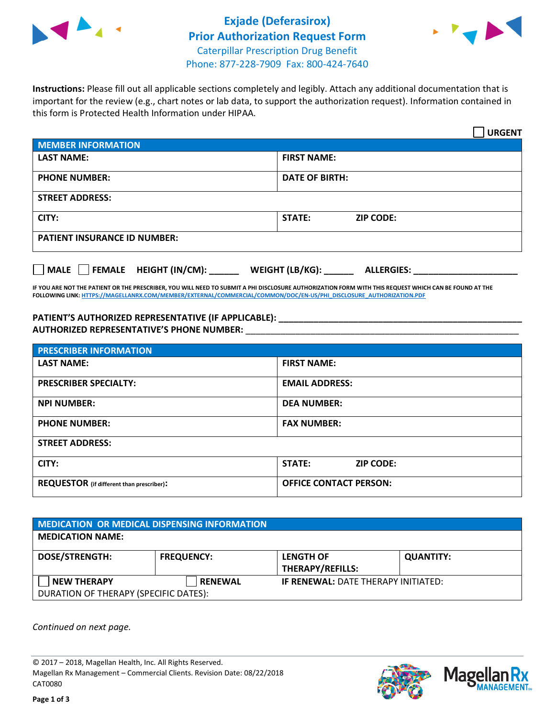



**Instructions:** Please fill out all applicable sections completely and legibly. Attach any additional documentation that is important for the review (e.g., chart notes or lab data, to support the authorization request). Information contained in this form is Protected Health Information under HIPAA.

|                                                              | <b>URGENT</b>                        |  |
|--------------------------------------------------------------|--------------------------------------|--|
| <b>MEMBER INFORMATION</b>                                    |                                      |  |
| <b>LAST NAME:</b>                                            | <b>FIRST NAME:</b>                   |  |
| <b>PHONE NUMBER:</b>                                         | <b>DATE OF BIRTH:</b>                |  |
| <b>STREET ADDRESS:</b>                                       |                                      |  |
| CITY:                                                        | <b>ZIP CODE:</b><br>STATE:           |  |
| <b>PATIENT INSURANCE ID NUMBER:</b>                          |                                      |  |
| FEMALE HEIGHT (IN/CM):<br>$\blacksquare$ MALE $\blacksquare$ | WEIGHT (LB/KG):<br><b>ALLERGIES:</b> |  |

**IF YOU ARE NOT THE PATIENT OR THE PRESCRIBER, YOU WILL NEED TO SUBMIT A PHI DISCLOSURE AUTHORIZATION FORM WITH THIS REQUEST WHICH CAN BE FOUND AT THE FOLLOWING LINK[: HTTPS://MAGELLANRX.COM/MEMBER/EXTERNAL/COMMERCIAL/COMMON/DOC/EN-US/PHI\\_DISCLOSURE\\_AUTHORIZATION.PDF](https://magellanrx.com/member/external/commercial/common/doc/en-us/PHI_Disclosure_Authorization.pdf)**

**PATIENT'S AUTHORIZED REPRESENTATIVE (IF APPLICABLE): \_\_\_\_\_\_\_\_\_\_\_\_\_\_\_\_\_\_\_\_\_\_\_\_\_\_\_\_\_\_\_\_\_\_\_\_\_\_\_\_\_\_\_\_\_\_\_\_\_ AUTHORIZED REPRESENTATIVE'S PHONE NUMBER:** \_\_\_\_\_\_\_\_\_\_\_\_\_\_\_\_\_\_\_\_\_\_\_\_\_\_\_\_\_\_\_\_\_\_\_\_\_\_\_\_\_\_\_\_\_\_\_\_\_\_\_\_\_\_\_

| <b>PRESCRIBER INFORMATION</b>             |                               |  |  |  |
|-------------------------------------------|-------------------------------|--|--|--|
| <b>LAST NAME:</b>                         | <b>FIRST NAME:</b>            |  |  |  |
| <b>PRESCRIBER SPECIALTY:</b>              | <b>EMAIL ADDRESS:</b>         |  |  |  |
| <b>NPI NUMBER:</b>                        | <b>DEA NUMBER:</b>            |  |  |  |
| <b>PHONE NUMBER:</b>                      | <b>FAX NUMBER:</b>            |  |  |  |
| <b>STREET ADDRESS:</b>                    |                               |  |  |  |
| CITY:                                     | STATE:<br><b>ZIP CODE:</b>    |  |  |  |
| REQUESTOR (if different than prescriber): | <b>OFFICE CONTACT PERSON:</b> |  |  |  |

| <b>MEDICATION OR MEDICAL DISPENSING INFORMATION</b>         |                   |                                             |                  |  |  |
|-------------------------------------------------------------|-------------------|---------------------------------------------|------------------|--|--|
| <b>MEDICATION NAME:</b>                                     |                   |                                             |                  |  |  |
| <b>DOSE/STRENGTH:</b>                                       | <b>FREQUENCY:</b> | <b>LENGTH OF</b><br><b>THERAPY/REFILLS:</b> | <b>QUANTITY:</b> |  |  |
| <b>NEW THERAPY</b><br>DURATION OF THERAPY (SPECIFIC DATES): | <b>RENEWAL</b>    | <b>IF RENEWAL: DATE THERAPY INITIATED:</b>  |                  |  |  |

*Continued on next page.*

© 2017 – 2018, Magellan Health, Inc. All Rights Reserved. Magellan Rx Management – Commercial Clients. Revision Date: 08/22/2018 CAT0080



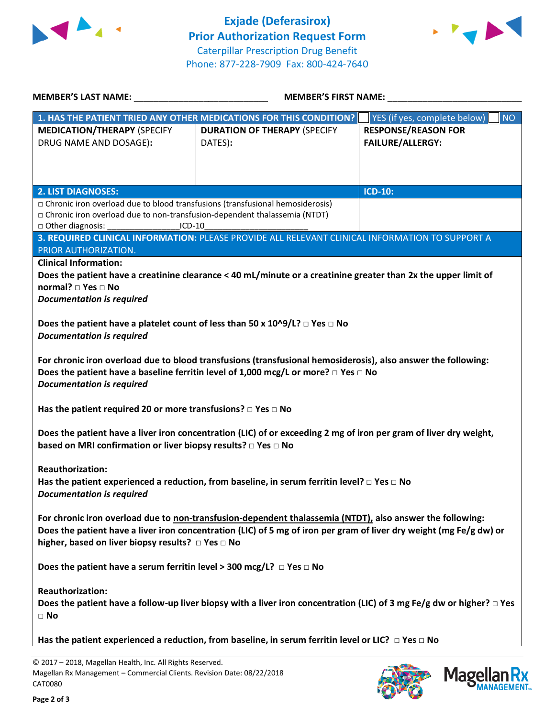



| <b>MEMBER'S LAST NAME:</b>                                                                                                                                                                                                                                                                          | <b>MEMBER'S FIRST NAME:</b>                                        |                                                       |  |  |  |
|-----------------------------------------------------------------------------------------------------------------------------------------------------------------------------------------------------------------------------------------------------------------------------------------------------|--------------------------------------------------------------------|-------------------------------------------------------|--|--|--|
|                                                                                                                                                                                                                                                                                                     | 1. HAS THE PATIENT TRIED ANY OTHER MEDICATIONS FOR THIS CONDITION? | YES (if yes, complete below)<br><b>NO</b>             |  |  |  |
| <b>MEDICATION/THERAPY (SPECIFY</b><br>DRUG NAME AND DOSAGE):                                                                                                                                                                                                                                        | <b>DURATION OF THERAPY (SPECIFY</b><br>DATES):                     | <b>RESPONSE/REASON FOR</b><br><b>FAILURE/ALLERGY:</b> |  |  |  |
| <b>2. LIST DIAGNOSES:</b>                                                                                                                                                                                                                                                                           |                                                                    | <b>ICD-10:</b>                                        |  |  |  |
| □ Chronic iron overload due to blood transfusions (transfusional hemosiderosis)<br>□ Chronic iron overload due to non-transfusion-dependent thalassemia (NTDT)<br>□ Other diagnosis:<br>$ICD-10$<br>3. REQUIRED CLINICAL INFORMATION: PLEASE PROVIDE ALL RELEVANT CLINICAL INFORMATION TO SUPPORT A |                                                                    |                                                       |  |  |  |
| PRIOR AUTHORIZATION.                                                                                                                                                                                                                                                                                |                                                                    |                                                       |  |  |  |
| <b>Clinical Information:</b><br>Does the patient have a creatinine clearance < 40 mL/minute or a creatinine greater than 2x the upper limit of<br>normal? □ Yes □ No<br><b>Documentation is required</b>                                                                                            |                                                                    |                                                       |  |  |  |
| Does the patient have a platelet count of less than 50 x $10^{9}/L$ ? $\Box$ Yes $\Box$ No<br><b>Documentation is required</b>                                                                                                                                                                      |                                                                    |                                                       |  |  |  |
| For chronic iron overload due to blood transfusions (transfusional hemosiderosis), also answer the following:<br>Does the patient have a baseline ferritin level of 1,000 mcg/L or more? $\Box$ Yes $\Box$ No<br><b>Documentation is required</b>                                                   |                                                                    |                                                       |  |  |  |
| Has the patient required 20 or more transfusions? $\Box$ Yes $\Box$ No                                                                                                                                                                                                                              |                                                                    |                                                       |  |  |  |
| Does the patient have a liver iron concentration (LIC) of or exceeding 2 mg of iron per gram of liver dry weight,<br>based on MRI confirmation or liver biopsy results? □ Yes □ No                                                                                                                  |                                                                    |                                                       |  |  |  |
| <b>Reauthorization:</b><br>Has the patient experienced a reduction, from baseline, in serum ferritin level? $\Box$ Yes $\Box$ No<br><b>Documentation is required</b>                                                                                                                                |                                                                    |                                                       |  |  |  |
| For chronic iron overload due to non-transfusion-dependent thalassemia (NTDT), also answer the following:<br>Does the patient have a liver iron concentration (LIC) of 5 mg of iron per gram of liver dry weight (mg Fe/g dw) or<br>higher, based on liver biopsy results? □ Yes □ No               |                                                                    |                                                       |  |  |  |
| Does the patient have a serum ferritin level > 300 mcg/L? $\Box$ Yes $\Box$ No                                                                                                                                                                                                                      |                                                                    |                                                       |  |  |  |
| <b>Reauthorization:</b><br>Does the patient have a follow-up liver biopsy with a liver iron concentration (LIC) of 3 mg Fe/g dw or higher? $\Box$ Yes<br>$\Box$ No                                                                                                                                  |                                                                    |                                                       |  |  |  |
| Has the patient experienced a reduction, from baseline, in serum ferritin level or LIC? $\Box$ Yes $\Box$ No                                                                                                                                                                                        |                                                                    |                                                       |  |  |  |

© 2017 – 2018, Magellan Health, Inc. All Rights Reserved. Magellan Rx Management – Commercial Clients. Revision Date: 08/22/2018 CAT0080



Mage

**Ilan Rx<br>ANAGEMENT**